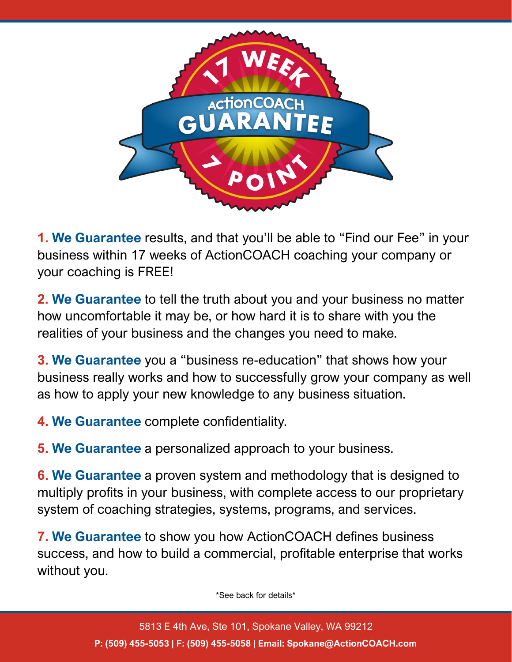

**1. We Guarantee** results, and that you'll be able to "Find our Fee" in your business within 17 weeks of ActionCOACH coaching your company or your coaching is FREE!

**2. We Guarantee** to tell the truth about you and your business no matter how uncomfortable it may be, or how hard it is to share with you the realities of your business and the changes you need to make.

**3. We Guarantee** you a "business re-education" that shows how your business really works and how to successfully grow your company as well as how to apply your new knowledge to any business situation.

**4. We Guarantee** complete confidentiality.

**5. We Guarantee** a personalized approach to your business.

**6. We Guarantee** a proven system and methodology that is designed to multiply profits in your business, with complete access to our proprietary system of coaching strategies, systems, programs, and services.

**7. We Guarantee** to show you how ActionCOACH defines business success, and how to build a commercial, profitable enterprise that works without you.

\*See back for details\*

5813 E 4th Ave, Ste 101, Spokane Valley, WA 99212 **P: (509) 455-5053 | F: (509) 455-5058 | Email: Spokane@ActionCOACH.com**